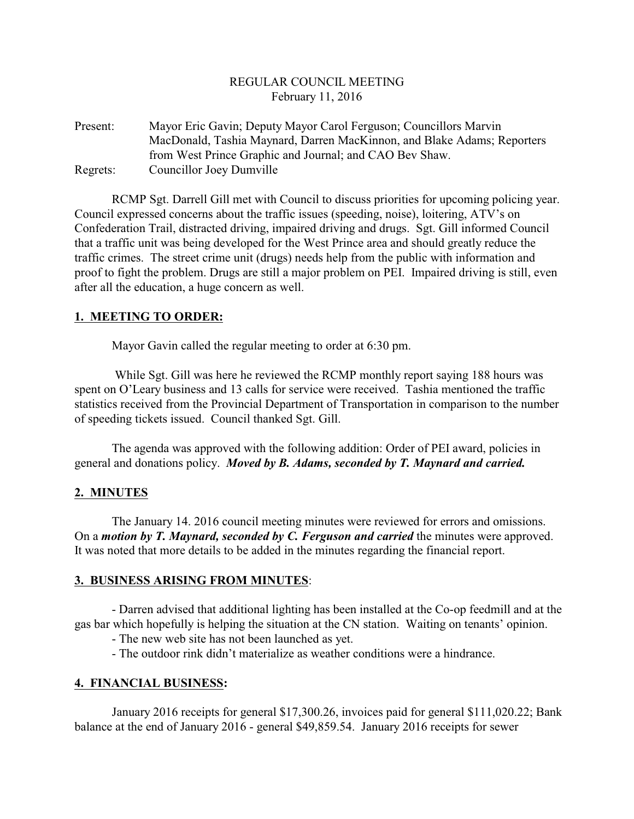## REGULAR COUNCIL MEETING February 11, 2016

Present: Mayor Eric Gavin; Deputy Mayor Carol Ferguson; Councillors Marvin MacDonald, Tashia Maynard, Darren MacKinnon, and Blake Adams; Reporters from West Prince Graphic and Journal; and CAO Bev Shaw. Regrets: Councillor Joey Dumville

RCMP Sgt. Darrell Gill met with Council to discuss priorities for upcoming policing year. Council expressed concerns about the traffic issues (speeding, noise), loitering, ATV's on Confederation Trail, distracted driving, impaired driving and drugs. Sgt. Gill informed Council that a traffic unit was being developed for the West Prince area and should greatly reduce the traffic crimes. The street crime unit (drugs) needs help from the public with information and proof to fight the problem. Drugs are still a major problem on PEI. Impaired driving is still, even after all the education, a huge concern as well.

#### **1. MEETING TO ORDER:**

Mayor Gavin called the regular meeting to order at 6:30 pm.

 While Sgt. Gill was here he reviewed the RCMP monthly report saying 188 hours was spent on O'Leary business and 13 calls for service were received. Tashia mentioned the traffic statistics received from the Provincial Department of Transportation in comparison to the number of speeding tickets issued. Council thanked Sgt. Gill.

The agenda was approved with the following addition: Order of PEI award, policies in general and donations policy. *Moved by B. Adams, seconded by T. Maynard and carried.*

## **2. MINUTES**

The January 14. 2016 council meeting minutes were reviewed for errors and omissions. On a *motion by T. Maynard, seconded by C. Ferguson and carried* the minutes were approved. It was noted that more details to be added in the minutes regarding the financial report.

#### **3. BUSINESS ARISING FROM MINUTES**:

- Darren advised that additional lighting has been installed at the Co-op feedmill and at the gas bar which hopefully is helping the situation at the CN station. Waiting on tenants' opinion.

- The new web site has not been launched as yet.

- The outdoor rink didn't materialize as weather conditions were a hindrance.

## **4. FINANCIAL BUSINESS:**

January 2016 receipts for general \$17,300.26, invoices paid for general \$111,020.22; Bank balance at the end of January 2016 - general \$49,859.54. January 2016 receipts for sewer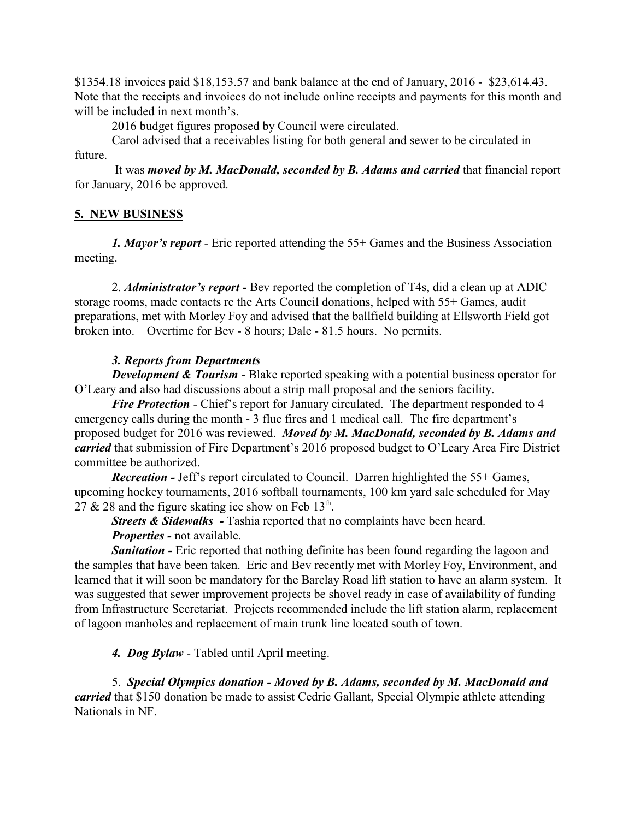\$1354.18 invoices paid \$18,153.57 and bank balance at the end of January, 2016 - \$23,614.43. Note that the receipts and invoices do not include online receipts and payments for this month and will be included in next month's.

2016 budget figures proposed by Council were circulated.

Carol advised that a receivables listing for both general and sewer to be circulated in future.

 It was *moved by M. MacDonald, seconded by B. Adams and carried* that financial report for January, 2016 be approved.

## **5. NEW BUSINESS**

*1. Mayor's report* - Eric reported attending the 55+ Games and the Business Association meeting.

2. *Administrator's report -* Bev reported the completion of T4s, did a clean up at ADIC storage rooms, made contacts re the Arts Council donations, helped with 55+ Games, audit preparations, met with Morley Foy and advised that the ballfield building at Ellsworth Field got broken into. Overtime for Bev - 8 hours; Dale - 81.5 hours. No permits.

# *3. Reports from Departments*

*Development & Tourism* - Blake reported speaking with a potential business operator for O'Leary and also had discussions about a strip mall proposal and the seniors facility.

*Fire Protection* - Chief's report for January circulated. The department responded to 4 emergency calls during the month - 3 flue fires and 1 medical call. The fire department's proposed budget for 2016 was reviewed. *Moved by M. MacDonald, seconded by B. Adams and carried* that submission of Fire Department's 2016 proposed budget to O'Leary Area Fire District committee be authorized.

*Recreation -* Jeff's report circulated to Council. Darren highlighted the 55+ Games, upcoming hockey tournaments, 2016 softball tournaments, 100 km yard sale scheduled for May 27 & 28 and the figure skating ice show on Feb  $13<sup>th</sup>$ .

*Streets & Sidewalks - Tashia reported that no complaints have been heard. Properties -* not available.

**Sanitation -** Eric reported that nothing definite has been found regarding the lagoon and the samples that have been taken. Eric and Bev recently met with Morley Foy, Environment, and learned that it will soon be mandatory for the Barclay Road lift station to have an alarm system. It was suggested that sewer improvement projects be shovel ready in case of availability of funding from Infrastructure Secretariat. Projects recommended include the lift station alarm, replacement of lagoon manholes and replacement of main trunk line located south of town.

*4. Dog Bylaw* - Tabled until April meeting.

5. *Special Olympics donation - Moved by B. Adams, seconded by M. MacDonald and carried* that \$150 donation be made to assist Cedric Gallant, Special Olympic athlete attending Nationals in NF.